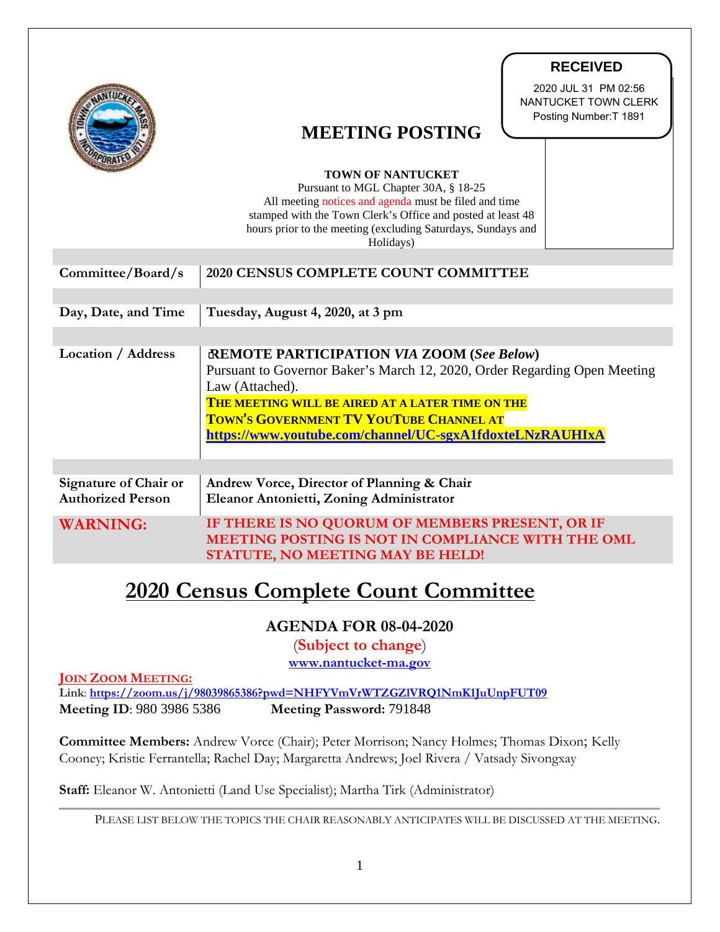|                                                                                                                                                                                                   | <b>RECEIVED</b><br>2020 JUL 31 PM 02:56<br>NANTUCKET TOWN CLERK<br>Posting Number: T 1891<br><b>MEETING POSTING</b><br><b>TOWN OF NANTUCKET</b><br>Pursuant to MGL Chapter 30A, § 18-25<br>All meeting notices and agenda must be filed and time                                                            |
|---------------------------------------------------------------------------------------------------------------------------------------------------------------------------------------------------|-------------------------------------------------------------------------------------------------------------------------------------------------------------------------------------------------------------------------------------------------------------------------------------------------------------|
|                                                                                                                                                                                                   | stamped with the Town Clerk's Office and posted at least 48<br>hours prior to the meeting (excluding Saturdays, Sundays and<br>Holidays)                                                                                                                                                                    |
| Committee/Board/s                                                                                                                                                                                 | 2020 CENSUS COMPLETE COUNT COMMITTEE                                                                                                                                                                                                                                                                        |
| Day, Date, and Time                                                                                                                                                                               | Tuesday, August 4, 2020, at 3 pm                                                                                                                                                                                                                                                                            |
| <b>Location / Address</b>                                                                                                                                                                         | <b>REMOTE PARTICIPATION VIA ZOOM (See Below)</b><br>Pursuant to Governor Baker's March 12, 2020, Order Regarding Open Meeting<br>Law (Attached).<br>THE MEETING WILL BE AIRED AT A LATER TIME ON THE<br>TOWN'S GOVERNMENT TV YOUTUBE CHANNEL AT<br>https://www.youtube.com/channel/UC-sgxA1fdoxteLNzRAUHIxA |
| Signature of Chair or<br><b>Authorized Person</b>                                                                                                                                                 | Andrew Vorce, Director of Planning & Chair<br>Eleanor Antonietti, Zoning Administrator                                                                                                                                                                                                                      |
| <b>WARNING:</b>                                                                                                                                                                                   | IF THERE IS NO QUORUM OF MEMBERS PRESENT, OR IF<br>MEETING POSTING IS NOT IN COMPLIANCE WITH THE OML<br>STATUTE, NO MEETING MAY BE HELD!                                                                                                                                                                    |
| <b>2020 Census Complete Count Committee</b>                                                                                                                                                       |                                                                                                                                                                                                                                                                                                             |
| <b>AGENDA FOR 08-04-2020</b><br>(Subject to change)<br>www.nantucket-ma.gov                                                                                                                       |                                                                                                                                                                                                                                                                                                             |
| <b>JOIN ZOOM MEETING:</b><br>Link: https://zoom.us/j/98039865386?pwd=NHFYVmVrWTZGZIVRQ1NmK1JuUnpFUT09<br>Meeting ID: 980 3986 5386<br>Meeting Password: 791848                                    |                                                                                                                                                                                                                                                                                                             |
| <b>Committee Members:</b> Andrew Vorce (Chair); Peter Morrison; Nancy Holmes; Thomas Dixon; Kelly<br>Cooney; Kristie Ferrantella; Rachel Day; Margaretta Andrews; Joel Rivera / Vatsady Sivongxay |                                                                                                                                                                                                                                                                                                             |
| Staff: Eleanor W. Antonietti (Land Use Specialist); Martha Tirk (Administrator)                                                                                                                   |                                                                                                                                                                                                                                                                                                             |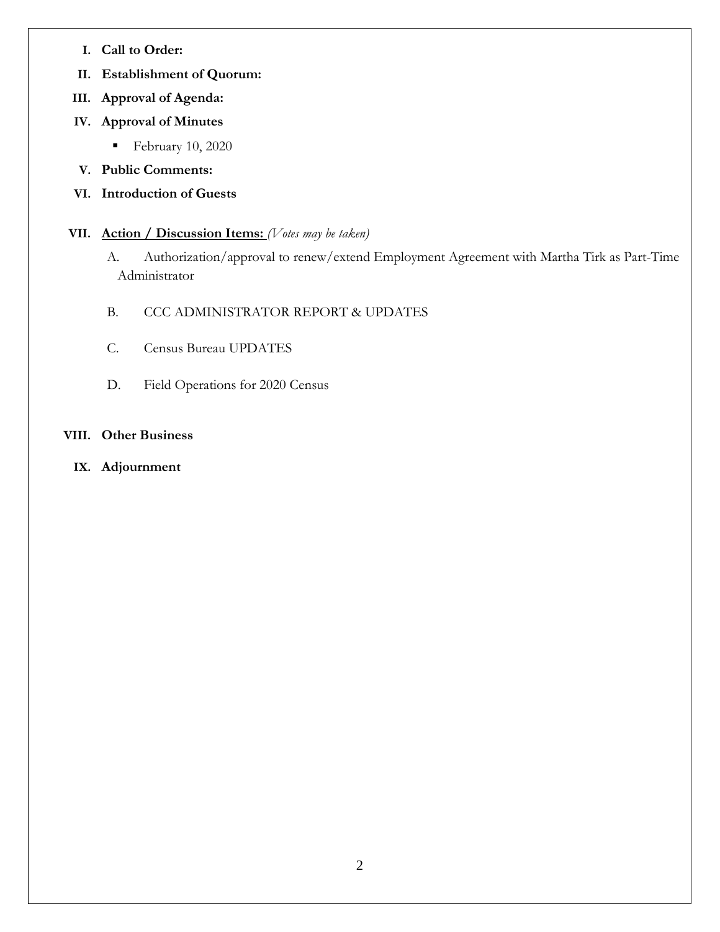- **I. Call to Order:**
- **II. Establishment of Quorum:**
- **III. Approval of Agenda:**
- **IV. Approval of Minutes**
	- February 10, 2020
- **V. Public Comments:**
- **VI. Introduction of Guests**
- **VII. Action / Discussion Items:** *(Votes may be taken)* 
	- A. Authorization/approval to renew/extend Employment Agreement with Martha Tirk as Part-Time Administrator
	- B. CCC ADMINISTRATOR REPORT & UPDATES
	- C. Census Bureau UPDATES
	- D. Field Operations for 2020 Census

## **VIII. Other Business**

**IX. Adjournment**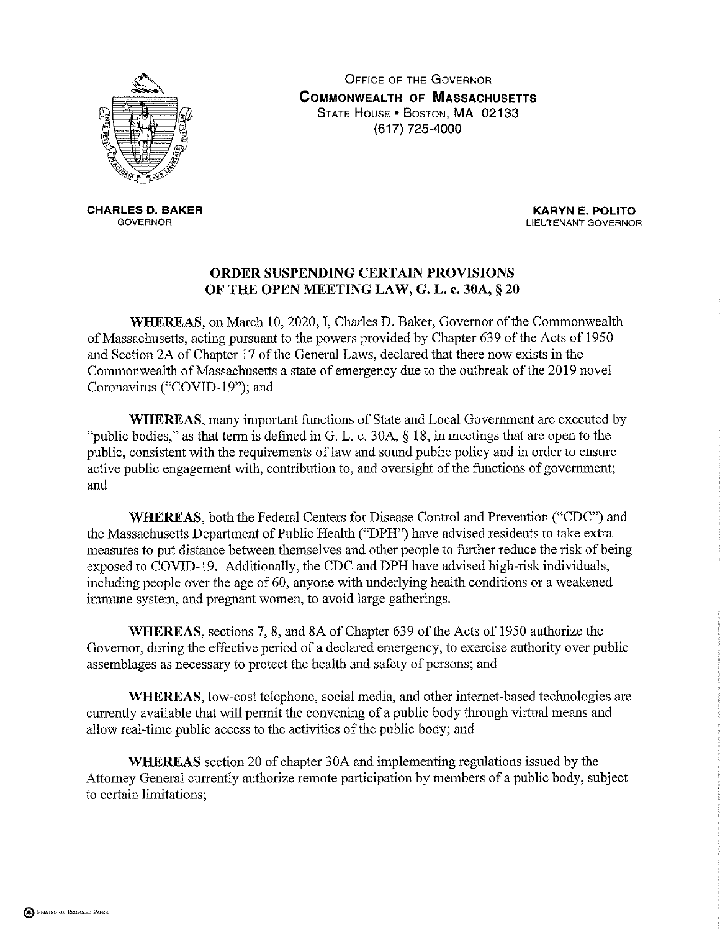

**OFFICE OF THE GOVERNOR COMMONWEALTH OF MASSACHUSETTS** STATE HOUSE . BOSTON, MA 02133 (617) 725-4000

**CHARLES D. BAKER GOVERNOR** 

**KARYN E. POLITO** LIEUTENANT GOVERNOR

## ORDER SUSPENDING CERTAIN PROVISIONS OF THE OPEN MEETING LAW, G. L. c. 30A, § 20

WHEREAS, on March 10, 2020, I, Charles D. Baker, Governor of the Commonwealth of Massachusetts, acting pursuant to the powers provided by Chapter 639 of the Acts of 1950 and Section 2A of Chapter 17 of the General Laws, declared that there now exists in the Commonwealth of Massachusetts a state of emergency due to the outbreak of the 2019 novel Coronavirus ("COVID-19"); and

**WHEREAS**, many important functions of State and Local Government are executed by "public bodies," as that term is defined in G. L. c. 30A,  $\S$  18, in meetings that are open to the public, consistent with the requirements of law and sound public policy and in order to ensure active public engagement with, contribution to, and oversight of the functions of government; and

WHEREAS, both the Federal Centers for Disease Control and Prevention ("CDC") and the Massachusetts Department of Public Health ("DPH") have advised residents to take extra measures to put distance between themselves and other people to further reduce the risk of being exposed to COVID-19. Additionally, the CDC and DPH have advised high-risk individuals, including people over the age of 60, anyone with underlying health conditions or a weakened immune system, and pregnant women, to avoid large gatherings.

WHEREAS, sections 7, 8, and 8A of Chapter 639 of the Acts of 1950 authorize the Governor, during the effective period of a declared emergency, to exercise authority over public assemblages as necessary to protect the health and safety of persons; and

WHEREAS, low-cost telephone, social media, and other internet-based technologies are currently available that will permit the convening of a public body through virtual means and allow real-time public access to the activities of the public body; and

**WHEREAS** section 20 of chapter 30A and implementing regulations issued by the Attorney General currently authorize remote participation by members of a public body, subject to certain limitations;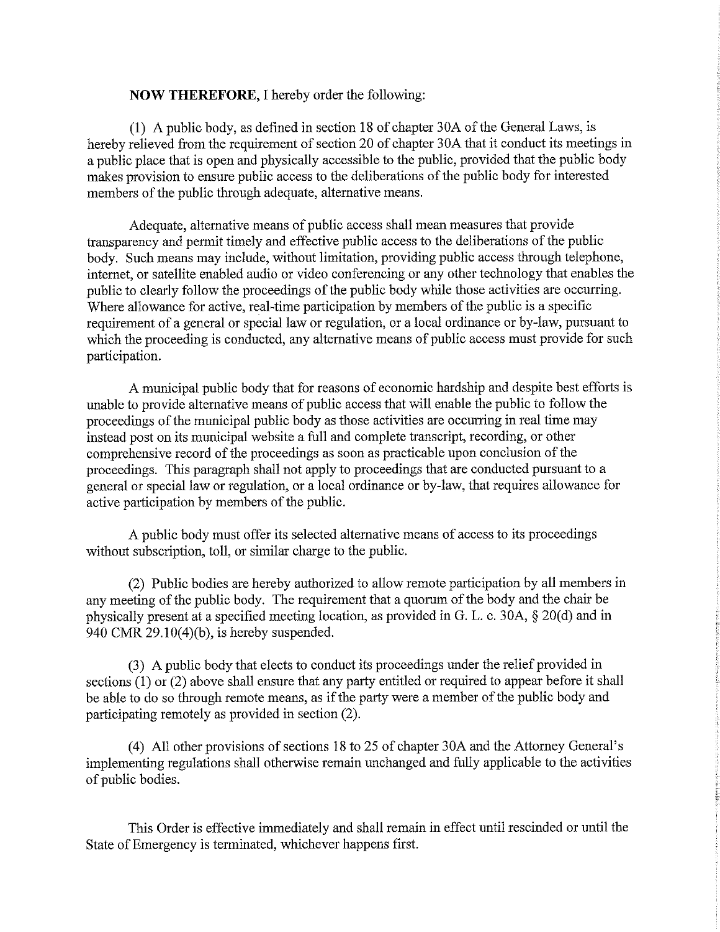## **NOW THEREFORE, I hereby order the following:**

(1) A public body, as defined in section 18 of chapter 30A of the General Laws, is hereby relieved from the requirement of section 20 of chapter 30A that it conduct its meetings in a public place that is open and physically accessible to the public, provided that the public body makes provision to ensure public access to the deliberations of the public body for interested members of the public through adequate, alternative means.

Adequate, alternative means of public access shall mean measures that provide transparency and permit timely and effective public access to the deliberations of the public body. Such means may include, without limitation, providing public access through telephone, internet, or satellite enabled audio or video conferencing or any other technology that enables the public to clearly follow the proceedings of the public body while those activities are occurring. Where allowance for active, real-time participation by members of the public is a specific requirement of a general or special law or regulation, or a local ordinance or by-law, pursuant to which the proceeding is conducted, any alternative means of public access must provide for such participation.

A municipal public body that for reasons of economic hardship and despite best efforts is unable to provide alternative means of public access that will enable the public to follow the proceedings of the municipal public body as those activities are occurring in real time may instead post on its municipal website a full and complete transcript, recording, or other comprehensive record of the proceedings as soon as practicable upon conclusion of the proceedings. This paragraph shall not apply to proceedings that are conducted pursuant to a general or special law or regulation, or a local ordinance or by-law, that requires allowance for active participation by members of the public.

A public body must offer its selected alternative means of access to its proceedings without subscription, toll, or similar charge to the public.

(2) Public bodies are hereby authorized to allow remote participation by all members in any meeting of the public body. The requirement that a quorum of the body and the chair be physically present at a specified meeting location, as provided in G. L. c. 30A, § 20(d) and in 940 CMR  $29.10(4)(b)$ , is hereby suspended.

(3) A public body that elects to conduct its proceedings under the relief provided in sections  $(1)$  or  $(2)$  above shall ensure that any party entitled or required to appear before it shall be able to do so through remote means, as if the party were a member of the public body and participating remotely as provided in section (2).

(4) All other provisions of sections 18 to 25 of chapter 30A and the Attorney General's implementing regulations shall otherwise remain unchanged and fully applicable to the activities of public bodies.

This Order is effective immediately and shall remain in effect until rescinded or until the State of Emergency is terminated, whichever happens first.